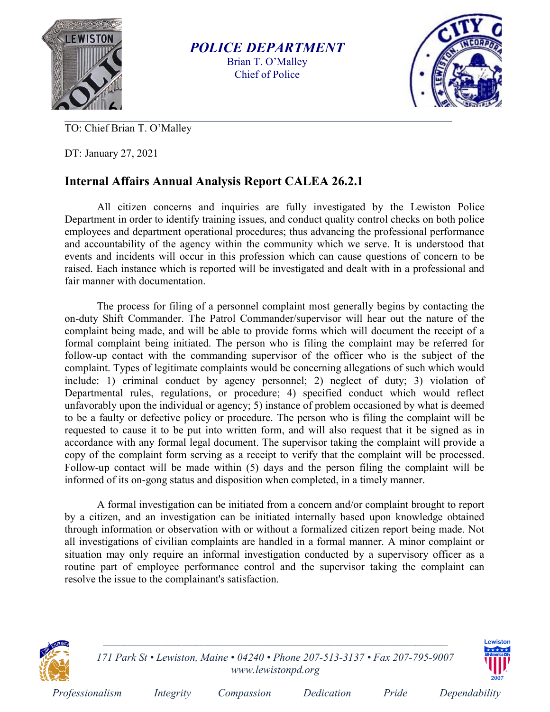

POLICE DEPARTMENT Brian T. O'Malley Chief of Police



TO: Chief Brian T. O'Malley

DT: January 27, 2021

## Internal Affairs Annual Analysis Report CALEA 26.2.1

All citizen concerns and inquiries are fully investigated by the Lewiston Police Department in order to identify training issues, and conduct quality control checks on both police employees and department operational procedures; thus advancing the professional performance and accountability of the agency within the community which we serve. It is understood that events and incidents will occur in this profession which can cause questions of concern to be raised. Each instance which is reported will be investigated and dealt with in a professional and fair manner with documentation.

The process for filing of a personnel complaint most generally begins by contacting the on-duty Shift Commander. The Patrol Commander/supervisor will hear out the nature of the complaint being made, and will be able to provide forms which will document the receipt of a formal complaint being initiated. The person who is filing the complaint may be referred for follow-up contact with the commanding supervisor of the officer who is the subject of the complaint. Types of legitimate complaints would be concerning allegations of such which would include: 1) criminal conduct by agency personnel; 2) neglect of duty; 3) violation of Departmental rules, regulations, or procedure; 4) specified conduct which would reflect unfavorably upon the individual or agency; 5) instance of problem occasioned by what is deemed to be a faulty or defective policy or procedure. The person who is filing the complaint will be requested to cause it to be put into written form, and will also request that it be signed as in accordance with any formal legal document. The supervisor taking the complaint will provide a copy of the complaint form serving as a receipt to verify that the complaint will be processed. Follow-up contact will be made within (5) days and the person filing the complaint will be informed of its on-gong status and disposition when completed, in a timely manner.

A formal investigation can be initiated from a concern and/or complaint brought to report by a citizen, and an investigation can be initiated internally based upon knowledge obtained through information or observation with or without a formalized citizen report being made. Not all investigations of civilian complaints are handled in a formal manner. A minor complaint or situation may only require an informal investigation conducted by a supervisory officer as a routine part of employee performance control and the supervisor taking the complaint can resolve the issue to the complainant's satisfaction.



171 Park St • Lewiston, Maine • 04240 • Phone 207-513-3137 • Fax 207-795-9007 www.lewistonpd.org



Professionalism Integrity Compassion Dedication Pride Dependability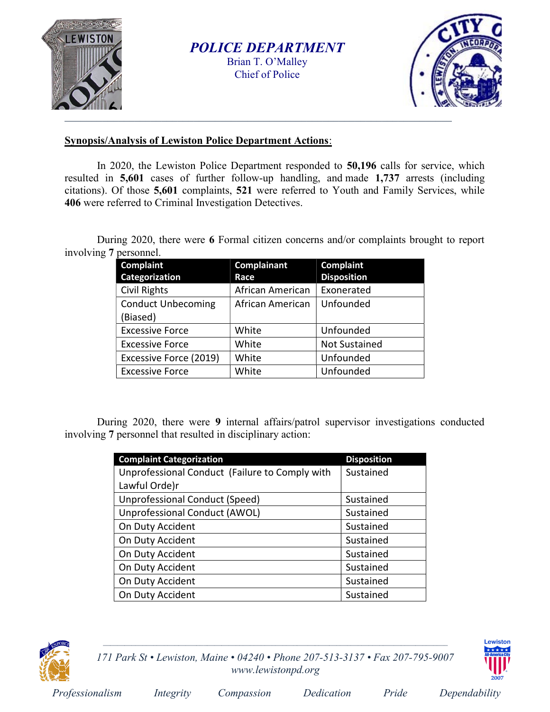

POLICE DEPARTMENT Brian T. O'Malley Chief of Police



## Synopsis/Analysis of Lewiston Police Department Actions:

In 2020, the Lewiston Police Department responded to 50,196 calls for service, which resulted in 5,601 cases of further follow-up handling, and made 1,737 arrests (including citations). Of those 5,601 complaints, 521 were referred to Youth and Family Services, while 406 were referred to Criminal Investigation Detectives.

During 2020, there were 6 Formal citizen concerns and/or complaints brought to report involving 7 personnel.

| <b>Complaint</b>          | Complainant      | <b>Complaint</b>     |
|---------------------------|------------------|----------------------|
| <b>Categorization</b>     | Race             | <b>Disposition</b>   |
| <b>Civil Rights</b>       | African American | Exonerated           |
| <b>Conduct Unbecoming</b> | African American | Unfounded            |
| (Biased)                  |                  |                      |
| <b>Excessive Force</b>    | White            | Unfounded            |
| <b>Excessive Force</b>    | White            | <b>Not Sustained</b> |
| Excessive Force (2019)    | White            | Unfounded            |
| <b>Excessive Force</b>    | White            | Unfounded            |

During 2020, there were 9 internal affairs/patrol supervisor investigations conducted involving 7 personnel that resulted in disciplinary action:

| <b>Complaint Categorization</b>                | <b>Disposition</b> |
|------------------------------------------------|--------------------|
| Unprofessional Conduct (Failure to Comply with | Sustained          |
| Lawful Orde)r                                  |                    |
| <b>Unprofessional Conduct (Speed)</b>          | Sustained          |
| Unprofessional Conduct (AWOL)                  | Sustained          |
| On Duty Accident                               | Sustained          |
| On Duty Accident                               | Sustained          |
| On Duty Accident                               | Sustained          |
| On Duty Accident                               | Sustained          |
| On Duty Accident                               | Sustained          |
| On Duty Accident                               | Sustained          |



171 Park St • Lewiston, Maine • 04240 • Phone 207-513-3137 • Fax 207-795-9007 www.lewistonpd.org